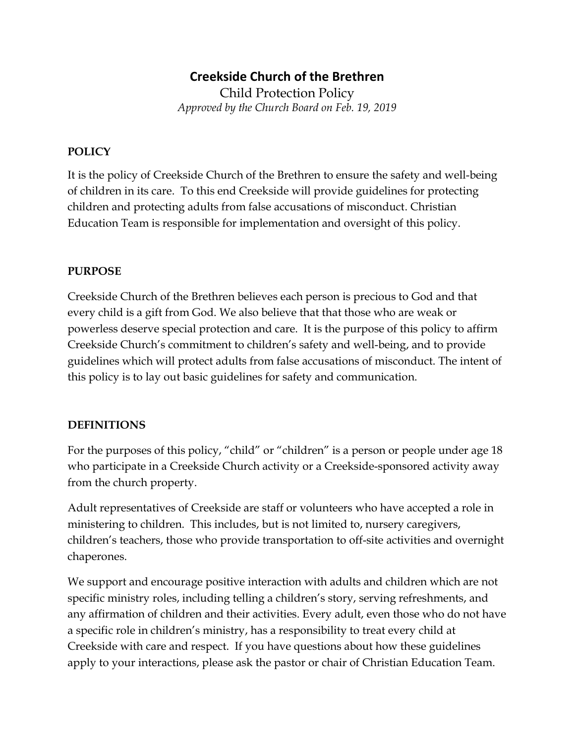# Creekside Church of the Brethren

Child Protection Policy Approved by the Church Board on Feb. 19, 2019

### POLICY

It is the policy of Creekside Church of the Brethren to ensure the safety and well-being of children in its care. To this end Creekside will provide guidelines for protecting children and protecting adults from false accusations of misconduct. Christian Education Team is responsible for implementation and oversight of this policy.

#### PURPOSE

Creekside Church of the Brethren believes each person is precious to God and that every child is a gift from God. We also believe that that those who are weak or powerless deserve special protection and care. It is the purpose of this policy to affirm Creekside Church's commitment to children's safety and well-being, and to provide guidelines which will protect adults from false accusations of misconduct. The intent of this policy is to lay out basic guidelines for safety and communication.

#### DEFINITIONS

For the purposes of this policy, "child" or "children" is a person or people under age 18 who participate in a Creekside Church activity or a Creekside-sponsored activity away from the church property.

Adult representatives of Creekside are staff or volunteers who have accepted a role in ministering to children. This includes, but is not limited to, nursery caregivers, children's teachers, those who provide transportation to off-site activities and overnight chaperones.

We support and encourage positive interaction with adults and children which are not specific ministry roles, including telling a children's story, serving refreshments, and any affirmation of children and their activities. Every adult, even those who do not have a specific role in children's ministry, has a responsibility to treat every child at Creekside with care and respect. If you have questions about how these guidelines apply to your interactions, please ask the pastor or chair of Christian Education Team.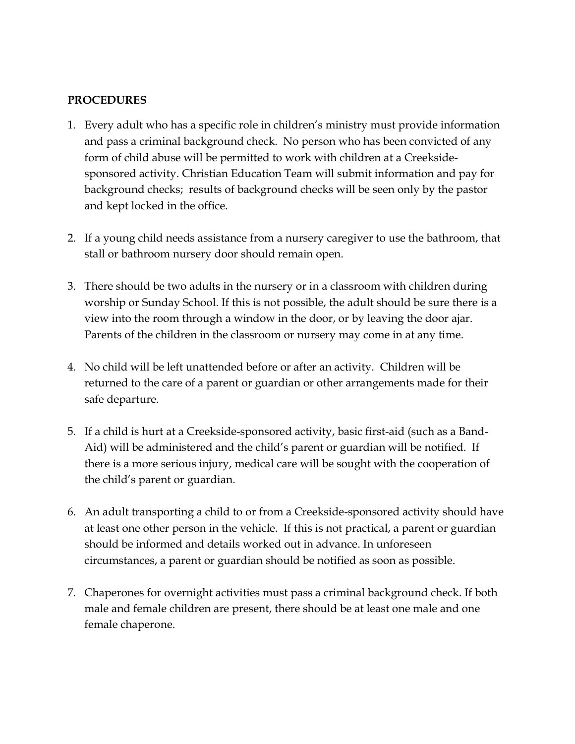#### PROCEDURES

- 1. Every adult who has a specific role in children's ministry must provide information and pass a criminal background check. No person who has been convicted of any form of child abuse will be permitted to work with children at a Creeksidesponsored activity. Christian Education Team will submit information and pay for background checks; results of background checks will be seen only by the pastor and kept locked in the office.
- 2. If a young child needs assistance from a nursery caregiver to use the bathroom, that stall or bathroom nursery door should remain open.
- 3. There should be two adults in the nursery or in a classroom with children during worship or Sunday School. If this is not possible, the adult should be sure there is a view into the room through a window in the door, or by leaving the door ajar. Parents of the children in the classroom or nursery may come in at any time.
- 4. No child will be left unattended before or after an activity. Children will be returned to the care of a parent or guardian or other arrangements made for their safe departure.
- 5. If a child is hurt at a Creekside-sponsored activity, basic first-aid (such as a Band-Aid) will be administered and the child's parent or guardian will be notified. If there is a more serious injury, medical care will be sought with the cooperation of the child's parent or guardian.
- 6. An adult transporting a child to or from a Creekside-sponsored activity should have at least one other person in the vehicle. If this is not practical, a parent or guardian should be informed and details worked out in advance. In unforeseen circumstances, a parent or guardian should be notified as soon as possible.
- 7. Chaperones for overnight activities must pass a criminal background check. If both male and female children are present, there should be at least one male and one female chaperone.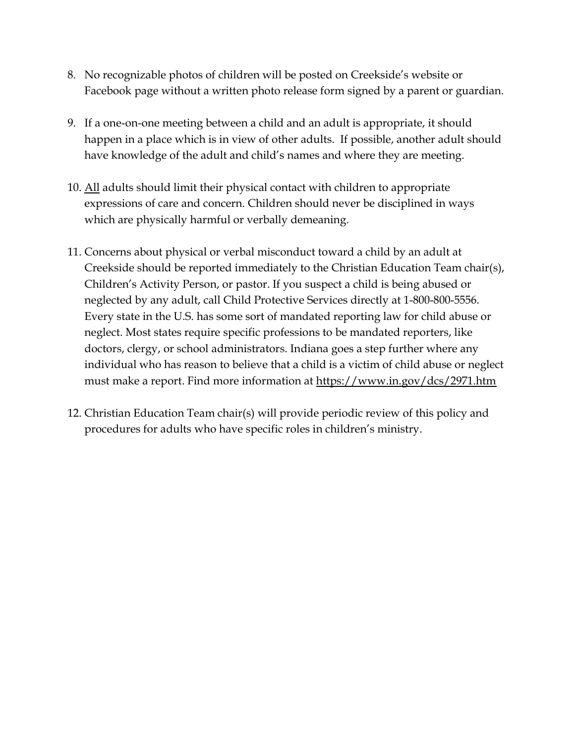- 8. No recognizable photos of children will be posted on Creekside's website or Facebook page without a written photo release form signed by a parent or guardian.
- 9. If a one-on-one meeting between a child and an adult is appropriate, it should happen in a place which is in view of other adults. If possible, another adult should have knowledge of the adult and child's names and where they are meeting.
- 10. All adults should limit their physical contact with children to appropriate expressions of care and concern. Children should never be disciplined in ways which are physically harmful or verbally demeaning.
- 11. Concerns about physical or verbal misconduct toward a child by an adult at Creekside should be reported immediately to the Christian Education Team chair(s), Children's Activity Person, or pastor. If you suspect a child is being abused or neglected by any adult, call Child Protective Services directly at 1-800-800-5556. Every state in the U.S. has some sort of mandated reporting law for child abuse or neglect. Most states require specific professions to be mandated reporters, like doctors, clergy, or school administrators. Indiana goes a step further where any individual who has reason to believe that a child is a victim of child abuse or neglect must make a report. Find more information at https://www.in.gov/dcs/2971.htm
- 12. Christian Education Team chair(s) will provide periodic review of this policy and procedures for adults who have specific roles in children's ministry.